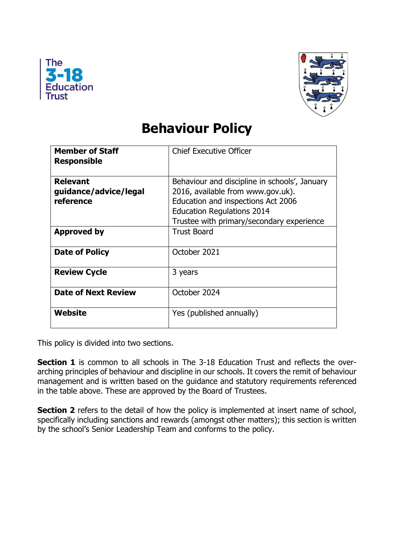



## **Behaviour Policy**

| <b>Member of Staff</b><br><b>Responsible</b>          | <b>Chief Executive Officer</b>                                                                                                                                                                             |
|-------------------------------------------------------|------------------------------------------------------------------------------------------------------------------------------------------------------------------------------------------------------------|
| <b>Relevant</b><br>guidance/advice/legal<br>reference | Behaviour and discipline in schools', January<br>2016, available from www.gov.uk).<br>Education and inspections Act 2006<br><b>Education Regulations 2014</b><br>Trustee with primary/secondary experience |
| <b>Approved by</b>                                    | <b>Trust Board</b>                                                                                                                                                                                         |
| Date of Policy                                        | October 2021                                                                                                                                                                                               |
| <b>Review Cycle</b>                                   | 3 years                                                                                                                                                                                                    |
| <b>Date of Next Review</b>                            | October 2024                                                                                                                                                                                               |
| Website                                               | Yes (published annually)                                                                                                                                                                                   |

This policy is divided into two sections.

**Section 1** is common to all schools in The 3-18 Education Trust and reflects the overarching principles of behaviour and discipline in our schools. It covers the remit of behaviour management and is written based on the guidance and statutory requirements referenced in the table above. These are approved by the Board of Trustees.

**Section 2** refers to the detail of how the policy is implemented at insert name of school, specifically including sanctions and rewards (amongst other matters); this section is written by the school's Senior Leadership Team and conforms to the policy.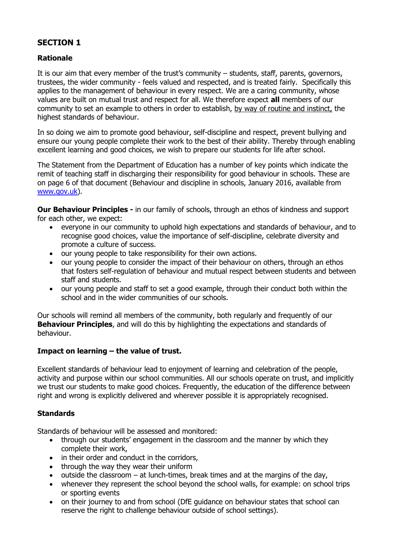#### **SECTION 1**

#### **Rationale**

It is our aim that every member of the trust's community – students, staff, parents, governors, trustees, the wider community - feels valued and respected, and is treated fairly. Specifically this applies to the management of behaviour in every respect. We are a caring community, whose values are built on mutual trust and respect for all. We therefore expect **all** members of our community to set an example to others in order to establish, by way of routine and instinct, the highest standards of behaviour.

In so doing we aim to promote good behaviour, self-discipline and respect, prevent bullying and ensure our young people complete their work to the best of their ability. Thereby through enabling excellent learning and good choices, we wish to prepare our students for life after school.

The Statement from the Department of Education has a number of key points which indicate the remit of teaching staff in discharging their responsibility for good behaviour in schools. These are on page 6 of that document (Behaviour and discipline in schools, January 2016, available from [www.gov.uk\)](http://www.gov.uk/).

**Our Behaviour Principles -** in our family of schools, through an ethos of kindness and support for each other, we expect:

- everyone in our community to uphold high expectations and standards of behaviour, and to recognise good choices, value the importance of self-discipline, celebrate diversity and promote a culture of success.
- our young people to take responsibility for their own actions.
- our young people to consider the impact of their behaviour on others, through an ethos that fosters self-regulation of behaviour and mutual respect between students and between staff and students.
- our young people and staff to set a good example, through their conduct both within the school and in the wider communities of our schools.

Our schools will remind all members of the community, both regularly and frequently of our **Behaviour Principles**, and will do this by highlighting the expectations and standards of behaviour.

#### **Impact on learning – the value of trust.**

Excellent standards of behaviour lead to enjoyment of learning and celebration of the people, activity and purpose within our school communities. All our schools operate on trust, and implicitly we trust our students to make good choices. Frequently, the education of the difference between right and wrong is explicitly delivered and wherever possible it is appropriately recognised.

#### **Standards**

Standards of behaviour will be assessed and monitored:

- through our students' engagement in the classroom and the manner by which they complete their work,
- in their order and conduct in the corridors,
- through the way they wear their uniform
- outside the classroom at lunch-times, break times and at the margins of the day,
- whenever they represent the school beyond the school walls, for example: on school trips or sporting events
- on their journey to and from school (DfE guidance on behaviour states that school can reserve the right to challenge behaviour outside of school settings).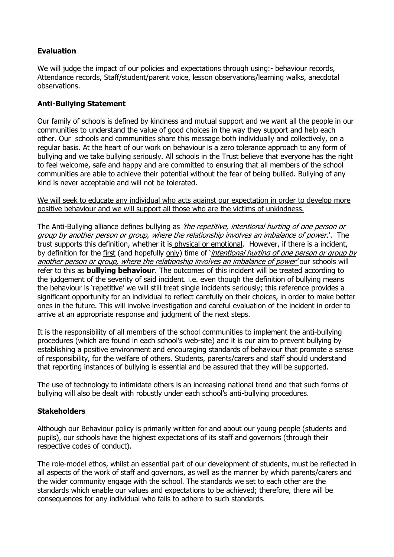#### **Evaluation**

We will judge the impact of our policies and expectations through using: - behaviour records, Attendance records, Staff/student/parent voice, lesson observations/learning walks, anecdotal observations.

#### **Anti-Bullying Statement**

Our family of schools is defined by kindness and mutual support and we want all the people in our communities to understand the value of good choices in the way they support and help each other. Our schools and communities share this message both individually and collectively, on a regular basis. At the heart of our work on behaviour is a zero tolerance approach to any form of bullying and we take bullying seriously. All schools in the Trust believe that everyone has the right to feel welcome, safe and happy and are committed to ensuring that all members of the school communities are able to achieve their potential without the fear of being bullied. Bullying of any kind is never acceptable and will not be tolerated.

We will seek to educate any individual who acts against our expectation in order to develop more positive behaviour and we will support all those who are the victims of unkindness.

The Anti-Bullying alliance defines bullying as *'the repetitive, intentional hurting of one person or* group by another person or group, where the relationship involves an imbalance of power.'. The trust supports this definition, whether it is physical or emotional. However, if there is a incident, by definition for the first (and hopefully only) time of '*intentional hurting of one person or group by* another person or group, where the relationship involves an imbalance of power' our schools will refer to this as **bullying behaviour**. The outcomes of this incident will be treated according to the judgement of the severity of said incident. i.e. even though the definition of bullying means the behaviour is 'repetitive' we will still treat single incidents seriously; this reference provides a significant opportunity for an individual to reflect carefully on their choices, in order to make better ones in the future. This will involve investigation and careful evaluation of the incident in order to arrive at an appropriate response and judgment of the next steps.

It is the responsibility of all members of the school communities to implement the anti-bullying procedures (which are found in each school's web-site) and it is our aim to prevent bullying by establishing a positive environment and encouraging standards of behaviour that promote a sense of responsibility, for the welfare of others. Students, parents/carers and staff should understand that reporting instances of bullying is essential and be assured that they will be supported.

The use of technology to intimidate others is an increasing national trend and that such forms of bullying will also be dealt with robustly under each school's anti-bullying procedures.

#### **Stakeholders**

Although our Behaviour policy is primarily written for and about our young people (students and pupils), our schools have the highest expectations of its staff and governors (through their respective codes of conduct).

The role-model ethos, whilst an essential part of our development of students, must be reflected in all aspects of the work of staff and governors, as well as the manner by which parents/carers and the wider community engage with the school. The standards we set to each other are the standards which enable our values and expectations to be achieved; therefore, there will be consequences for any individual who fails to adhere to such standards.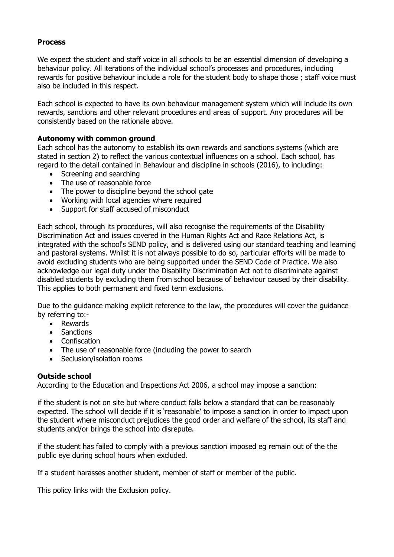#### **Process**

We expect the student and staff voice in all schools to be an essential dimension of developing a behaviour policy. All iterations of the individual school's processes and procedures, including rewards for positive behaviour include a role for the student body to shape those ; staff voice must also be included in this respect.

Each school is expected to have its own behaviour management system which will include its own rewards, sanctions and other relevant procedures and areas of support. Any procedures will be consistently based on the rationale above.

#### **Autonomy with common ground**

Each school has the autonomy to establish its own rewards and sanctions systems (which are stated in section 2) to reflect the various contextual influences on a school. Each school, has regard to the detail contained in Behaviour and discipline in schools (2016), to including:

- Screening and searching
- The use of reasonable force
- The power to discipline beyond the school gate
- Working with local agencies where required
- Support for staff accused of misconduct

Each school, through its procedures, will also recognise the requirements of the Disability Discrimination Act and issues covered in the Human Rights Act and Race Relations Act, is integrated with the school's SEND policy, and is delivered using our standard teaching and learning and pastoral systems. Whilst it is not always possible to do so, particular efforts will be made to avoid excluding students who are being supported under the SEND Code of Practice. We also acknowledge our legal duty under the Disability Discrimination Act not to discriminate against disabled students by excluding them from school because of behaviour caused by their disability. This applies to both permanent and fixed term exclusions.

Due to the guidance making explicit reference to the law, the procedures will cover the guidance by referring to:-

- Rewards
- Sanctions
- Confiscation
- The use of reasonable force (including the power to search
- Seclusion/isolation rooms

#### **Outside school**

According to the Education and Inspections Act 2006, a school may impose a sanction:

if the student is not on site but where conduct falls below a standard that can be reasonably expected. The school will decide if it is 'reasonable' to impose a sanction in order to impact upon the student where misconduct prejudices the good order and welfare of the school, its staff and students and/or brings the school into disrepute.

if the student has failed to comply with a previous sanction imposed eg remain out of the the public eye during school hours when excluded.

If a student harasses another student, member of staff or member of the public.

This policy links with the Exclusion policy.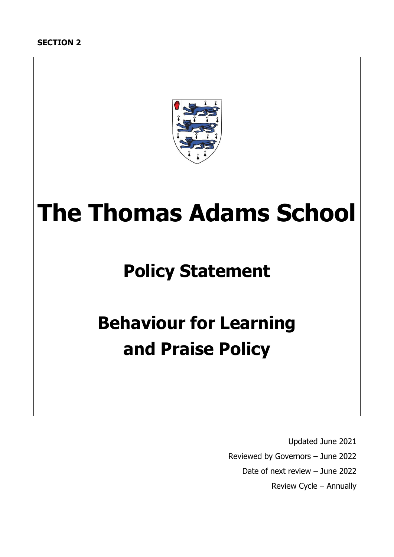

# **The Thomas Adams School**

## **Policy Statement**

## **Behaviour for Learning and Praise Policy**

 Updated June 2021 Reviewed by Governors – June 2022 Date of next review – June 2022 Review Cycle – Annually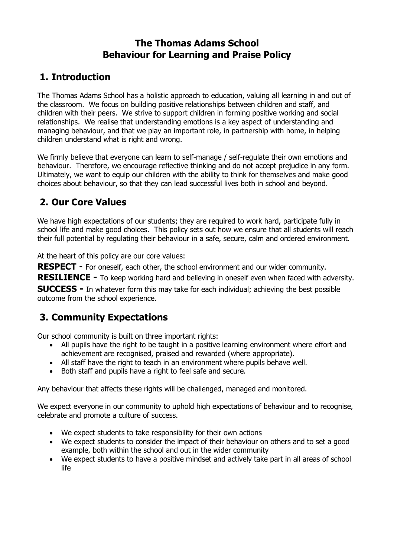## **The Thomas Adams School Behaviour for Learning and Praise Policy**

## **1. Introduction**

The Thomas Adams School has a holistic approach to education, valuing all learning in and out of the classroom. We focus on building positive relationships between children and staff, and children with their peers. We strive to support children in forming positive working and social relationships. We realise that understanding emotions is a key aspect of understanding and managing behaviour, and that we play an important role, in partnership with home, in helping children understand what is right and wrong.

We firmly believe that everyone can learn to self-manage / self-regulate their own emotions and behaviour. Therefore, we encourage reflective thinking and do not accept prejudice in any form. Ultimately, we want to equip our children with the ability to think for themselves and make good choices about behaviour, so that they can lead successful lives both in school and beyond.

## **2. Our Core Values**

We have high expectations of our students; they are required to work hard, participate fully in school life and make good choices. This policy sets out how we ensure that all students will reach their full potential by regulating their behaviour in a safe, secure, calm and ordered environment.

At the heart of this policy are our core values:

**RESPECT** - For oneself, each other, the school environment and our wider community.

**RESILIENCE -** To keep working hard and believing in oneself even when faced with adversity.

**SUCCESS -** In whatever form this may take for each individual; achieving the best possible outcome from the school experience.

## **3. Community Expectations**

Our school community is built on three important rights:

- All pupils have the right to be taught in a positive learning environment where effort and achievement are recognised, praised and rewarded (where appropriate).
- All staff have the right to teach in an environment where pupils behave well.
- Both staff and pupils have a right to feel safe and secure.

Any behaviour that affects these rights will be challenged, managed and monitored.

We expect everyone in our community to uphold high expectations of behaviour and to recognise, celebrate and promote a culture of success.

- We expect students to take responsibility for their own actions
- We expect students to consider the impact of their behaviour on others and to set a good example, both within the school and out in the wider community
- We expect students to have a positive mindset and actively take part in all areas of school life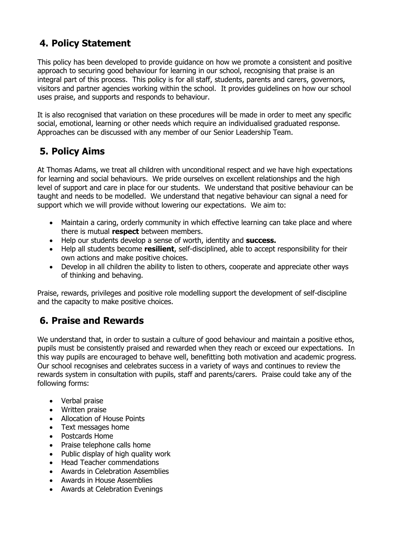## **4. Policy Statement**

This policy has been developed to provide guidance on how we promote a consistent and positive approach to securing good behaviour for learning in our school, recognising that praise is an integral part of this process. This policy is for all staff, students, parents and carers, governors, visitors and partner agencies working within the school. It provides guidelines on how our school uses praise, and supports and responds to behaviour.

It is also recognised that variation on these procedures will be made in order to meet any specific social, emotional, learning or other needs which require an individualised graduated response. Approaches can be discussed with any member of our Senior Leadership Team.

## **5. Policy Aims**

At Thomas Adams, we treat all children with unconditional respect and we have high expectations for learning and social behaviours. We pride ourselves on excellent relationships and the high level of support and care in place for our students. We understand that positive behaviour can be taught and needs to be modelled. We understand that negative behaviour can signal a need for support which we will provide without lowering our expectations. We aim to:

- Maintain a caring, orderly community in which effective learning can take place and where there is mutual **respect** between members.
- Help our students develop a sense of worth, identity and **success.**
- Help all students become **resilient**, self-disciplined, able to accept responsibility for their own actions and make positive choices.
- Develop in all children the ability to listen to others, cooperate and appreciate other ways of thinking and behaving.

Praise, rewards, privileges and positive role modelling support the development of self-discipline and the capacity to make positive choices.

## **6. Praise and Rewards**

We understand that, in order to sustain a culture of good behaviour and maintain a positive ethos, pupils must be consistently praised and rewarded when they reach or exceed our expectations. In this way pupils are encouraged to behave well, benefitting both motivation and academic progress. Our school recognises and celebrates success in a variety of ways and continues to review the rewards system in consultation with pupils, staff and parents/carers. Praise could take any of the following forms:

- Verbal praise
- Written praise
- Allocation of House Points
- Text messages home
- Postcards Home
- Praise telephone calls home
- Public display of high quality work
- Head Teacher commendations
- Awards in Celebration Assemblies
- Awards in House Assemblies
- Awards at Celebration Evenings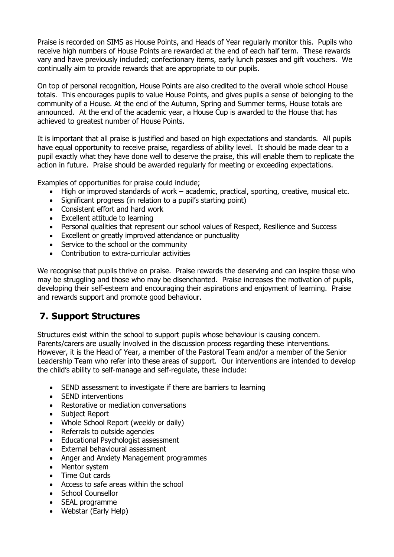Praise is recorded on SIMS as House Points, and Heads of Year regularly monitor this. Pupils who receive high numbers of House Points are rewarded at the end of each half term. These rewards vary and have previously included; confectionary items, early lunch passes and gift vouchers. We continually aim to provide rewards that are appropriate to our pupils.

On top of personal recognition, House Points are also credited to the overall whole school House totals. This encourages pupils to value House Points, and gives pupils a sense of belonging to the community of a House. At the end of the Autumn, Spring and Summer terms, House totals are announced. At the end of the academic year, a House Cup is awarded to the House that has achieved to greatest number of House Points.

It is important that all praise is justified and based on high expectations and standards. All pupils have equal opportunity to receive praise, regardless of ability level. It should be made clear to a pupil exactly what they have done well to deserve the praise, this will enable them to replicate the action in future. Praise should be awarded regularly for meeting or exceeding expectations.

Examples of opportunities for praise could include;

- High or improved standards of work academic, practical, sporting, creative, musical etc.
- Significant progress (in relation to a pupil's starting point)
- Consistent effort and hard work
- Excellent attitude to learning
- Personal qualities that represent our school values of Respect, Resilience and Success
- Excellent or greatly improved attendance or punctuality
- Service to the school or the community
- Contribution to extra-curricular activities

We recognise that pupils thrive on praise. Praise rewards the deserving and can inspire those who may be struggling and those who may be disenchanted. Praise increases the motivation of pupils, developing their self-esteem and encouraging their aspirations and enjoyment of learning. Praise and rewards support and promote good behaviour.

## **7. Support Structures**

Structures exist within the school to support pupils whose behaviour is causing concern. Parents/carers are usually involved in the discussion process regarding these interventions. However, it is the Head of Year, a member of the Pastoral Team and/or a member of the Senior Leadership Team who refer into these areas of support. Our interventions are intended to develop the child's ability to self-manage and self-regulate, these include:

- SEND assessment to investigate if there are barriers to learning
- SEND interventions
- Restorative or mediation conversations
- Subject Report
- Whole School Report (weekly or daily)
- Referrals to outside agencies
- Educational Psychologist assessment
- External behavioural assessment
- Anger and Anxiety Management programmes
- Mentor system
- Time Out cards
- Access to safe areas within the school
- School Counsellor
- SEAL programme
- Webstar (Early Help)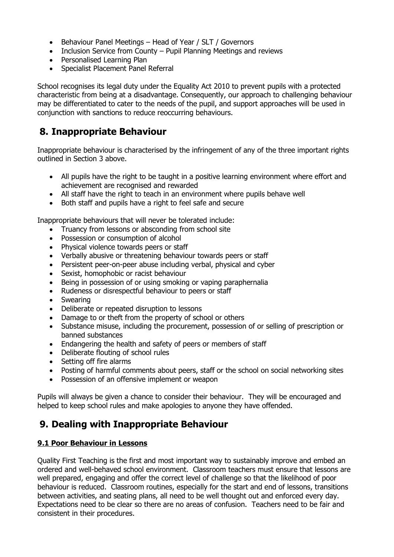- Behaviour Panel Meetings Head of Year / SLT / Governors
- Inclusion Service from County Pupil Planning Meetings and reviews
- Personalised Learning Plan
- Specialist Placement Panel Referral

School recognises its legal duty under the Equality Act 2010 to prevent pupils with a protected characteristic from being at a disadvantage. Consequently, our approach to challenging behaviour may be differentiated to cater to the needs of the pupil, and support approaches will be used in conjunction with sanctions to reduce reoccurring behaviours.

## **8. Inappropriate Behaviour**

Inappropriate behaviour is characterised by the infringement of any of the three important rights outlined in Section 3 above.

- All pupils have the right to be taught in a positive learning environment where effort and achievement are recognised and rewarded
- All staff have the right to teach in an environment where pupils behave well
- Both staff and pupils have a right to feel safe and secure

Inappropriate behaviours that will never be tolerated include:

- Truancy from lessons or absconding from school site
- Possession or consumption of alcohol
- Physical violence towards peers or staff
- Verbally abusive or threatening behaviour towards peers or staff
- Persistent peer-on-peer abuse including verbal, physical and cyber
- Sexist, homophobic or racist behaviour
- Being in possession of or using smoking or vaping paraphernalia
- Rudeness or disrespectful behaviour to peers or staff
- Swearing
- Deliberate or repeated disruption to lessons
- Damage to or theft from the property of school or others
- Substance misuse, including the procurement, possession of or selling of prescription or banned substances
- Endangering the health and safety of peers or members of staff
- Deliberate flouting of school rules
- Setting off fire alarms
- Posting of harmful comments about peers, staff or the school on social networking sites
- Possession of an offensive implement or weapon

Pupils will always be given a chance to consider their behaviour. They will be encouraged and helped to keep school rules and make apologies to anyone they have offended.

## **9. Dealing with Inappropriate Behaviour**

#### **9.1 Poor Behaviour in Lessons**

Quality First Teaching is the first and most important way to sustainably improve and embed an ordered and well-behaved school environment. Classroom teachers must ensure that lessons are well prepared, engaging and offer the correct level of challenge so that the likelihood of poor behaviour is reduced. Classroom routines, especially for the start and end of lessons, transitions between activities, and seating plans, all need to be well thought out and enforced every day. Expectations need to be clear so there are no areas of confusion. Teachers need to be fair and consistent in their procedures.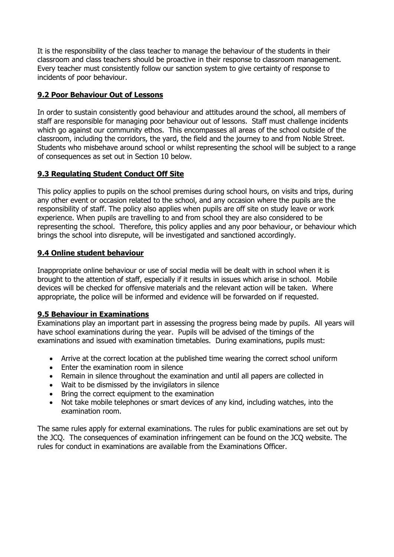It is the responsibility of the class teacher to manage the behaviour of the students in their classroom and class teachers should be proactive in their response to classroom management. Every teacher must consistently follow our sanction system to give certainty of response to incidents of poor behaviour.

#### **9.2 Poor Behaviour Out of Lessons**

In order to sustain consistently good behaviour and attitudes around the school, all members of staff are responsible for managing poor behaviour out of lessons. Staff must challenge incidents which go against our community ethos. This encompasses all areas of the school outside of the classroom, including the corridors, the yard, the field and the journey to and from Noble Street. Students who misbehave around school or whilst representing the school will be subject to a range of consequences as set out in Section 10 below.

#### **9.3 Regulating Student Conduct Off Site**

This policy applies to pupils on the school premises during school hours, on visits and trips, during any other event or occasion related to the school, and any occasion where the pupils are the responsibility of staff. The policy also applies when pupils are off site on study leave or work experience. When pupils are travelling to and from school they are also considered to be representing the school. Therefore, this policy applies and any poor behaviour, or behaviour which brings the school into disrepute, will be investigated and sanctioned accordingly.

#### **9.4 Online student behaviour**

Inappropriate online behaviour or use of social media will be dealt with in school when it is brought to the attention of staff, especially if it results in issues which arise in school. Mobile devices will be checked for offensive materials and the relevant action will be taken. Where appropriate, the police will be informed and evidence will be forwarded on if requested.

#### **9.5 Behaviour in Examinations**

Examinations play an important part in assessing the progress being made by pupils. All years will have school examinations during the year. Pupils will be advised of the timings of the examinations and issued with examination timetables. During examinations, pupils must:

- Arrive at the correct location at the published time wearing the correct school uniform
- Enter the examination room in silence
- Remain in silence throughout the examination and until all papers are collected in
- Wait to be dismissed by the invigilators in silence
- Bring the correct equipment to the examination
- Not take mobile telephones or smart devices of any kind, including watches, into the examination room.

The same rules apply for external examinations. The rules for public examinations are set out by the JCQ. The consequences of examination infringement can be found on the JCQ website. The rules for conduct in examinations are available from the Examinations Officer.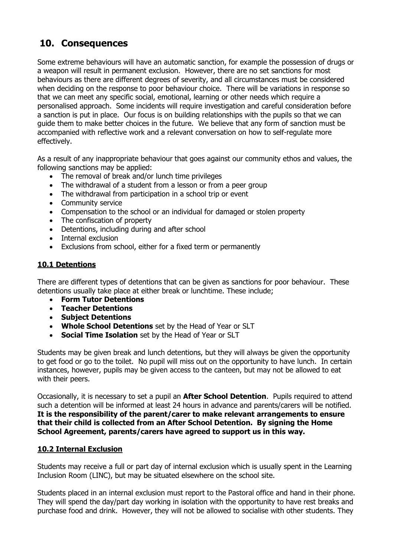## **10. Consequences**

Some extreme behaviours will have an automatic sanction, for example the possession of drugs or a weapon will result in permanent exclusion. However, there are no set sanctions for most behaviours as there are different degrees of severity, and all circumstances must be considered when deciding on the response to poor behaviour choice. There will be variations in response so that we can meet any specific social, emotional, learning or other needs which require a personalised approach. Some incidents will require investigation and careful consideration before a sanction is put in place. Our focus is on building relationships with the pupils so that we can guide them to make better choices in the future. We believe that any form of sanction must be accompanied with reflective work and a relevant conversation on how to self-regulate more effectively.

As a result of any inappropriate behaviour that goes against our community ethos and values, the following sanctions may be applied:

- The removal of break and/or lunch time privileges
- The withdrawal of a student from a lesson or from a peer group
- The withdrawal from participation in a school trip or event
- Community service
- Compensation to the school or an individual for damaged or stolen property
- The confiscation of property
- Detentions, including during and after school
- Internal exclusion
- Exclusions from school, either for a fixed term or permanently

#### **10.1 Detentions**

There are different types of detentions that can be given as sanctions for poor behaviour. These detentions usually take place at either break or lunchtime. These include;

- **Form Tutor Detentions**
- **Teacher Detentions**
- **Subject Detentions**
- **Whole School Detentions** set by the Head of Year or SLT
- **Social Time Isolation** set by the Head of Year or SLT

Students may be given break and lunch detentions, but they will always be given the opportunity to get food or go to the toilet. No pupil will miss out on the opportunity to have lunch. In certain instances, however, pupils may be given access to the canteen, but may not be allowed to eat with their peers.

Occasionally, it is necessary to set a pupil an **After School Detention**. Pupils required to attend such a detention will be informed at least 24 hours in advance and parents/carers will be notified. **It is the responsibility of the parent/carer to make relevant arrangements to ensure that their child is collected from an After School Detention. By signing the Home School Agreement, parents/carers have agreed to support us in this way.**

#### **10.2 Internal Exclusion**

Students may receive a full or part day of internal exclusion which is usually spent in the Learning Inclusion Room (LINC), but may be situated elsewhere on the school site.

Students placed in an internal exclusion must report to the Pastoral office and hand in their phone. They will spend the day/part day working in isolation with the opportunity to have rest breaks and purchase food and drink. However, they will not be allowed to socialise with other students. They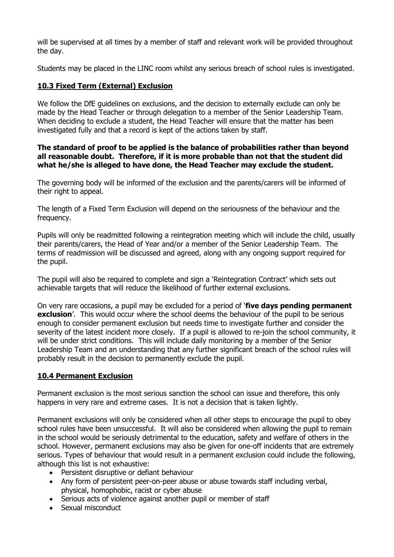will be supervised at all times by a member of staff and relevant work will be provided throughout the day.

Students may be placed in the LINC room whilst any serious breach of school rules is investigated.

#### **10.3 Fixed Term (External) Exclusion**

We follow the DfE guidelines on exclusions, and the decision to externally exclude can only be made by the Head Teacher or through delegation to a member of the Senior Leadership Team. When deciding to exclude a student, the Head Teacher will ensure that the matter has been investigated fully and that a record is kept of the actions taken by staff.

#### **The standard of proof to be applied is the balance of probabilities rather than beyond all reasonable doubt. Therefore, if it is more probable than not that the student did what he/she is alleged to have done, the Head Teacher may exclude the student.**

The governing body will be informed of the exclusion and the parents/carers will be informed of their right to appeal.

The length of a Fixed Term Exclusion will depend on the seriousness of the behaviour and the frequency.

Pupils will only be readmitted following a reintegration meeting which will include the child, usually their parents/carers, the Head of Year and/or a member of the Senior Leadership Team. The terms of readmission will be discussed and agreed, along with any ongoing support required for the pupil.

The pupil will also be required to complete and sign a 'Reintegration Contract' which sets out achievable targets that will reduce the likelihood of further external exclusions.

On very rare occasions, a pupil may be excluded for a period of '**five days pending permanent exclusion**'. This would occur where the school deems the behaviour of the pupil to be serious enough to consider permanent exclusion but needs time to investigate further and consider the severity of the latest incident more closely. If a pupil is allowed to re-join the school community, it will be under strict conditions. This will include daily monitoring by a member of the Senior Leadership Team and an understanding that any further significant breach of the school rules will probably result in the decision to permanently exclude the pupil.

#### **10.4 Permanent Exclusion**

Permanent exclusion is the most serious sanction the school can issue and therefore, this only happens in very rare and extreme cases. It is not a decision that is taken lightly.

Permanent exclusions will only be considered when all other steps to encourage the pupil to obey school rules have been unsuccessful. It will also be considered when allowing the pupil to remain in the school would be seriously detrimental to the education, safety and welfare of others in the school. However, permanent exclusions may also be given for one-off incidents that are extremely serious. Types of behaviour that would result in a permanent exclusion could include the following, although this list is not exhaustive:

- Persistent disruptive or defiant behaviour
- Any form of persistent peer-on-peer abuse or abuse towards staff including verbal, physical, homophobic, racist or cyber abuse
- Serious acts of violence against another pupil or member of staff
- Sexual misconduct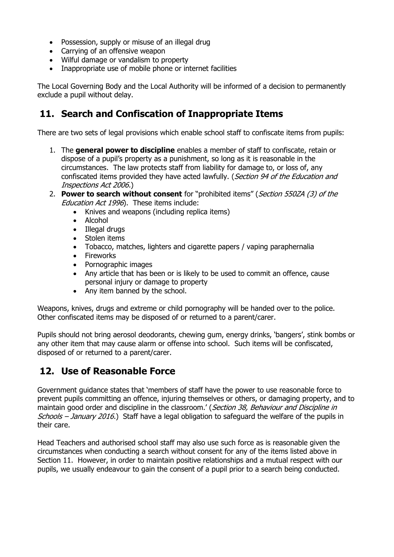- Possession, supply or misuse of an illegal drug
- Carrying of an offensive weapon
- Wilful damage or vandalism to property
- Inappropriate use of mobile phone or internet facilities

The Local Governing Body and the Local Authority will be informed of a decision to permanently exclude a pupil without delay.

### **11. Search and Confiscation of Inappropriate Items**

There are two sets of legal provisions which enable school staff to confiscate items from pupils:

- 1. The **general power to discipline** enables a member of staff to confiscate, retain or dispose of a pupil's property as a punishment, so long as it is reasonable in the circumstances. The law protects staff from liability for damage to, or loss of, any confiscated items provided they have acted lawfully. (Section 94 of the Education and Inspections Act 2006.)
- 2. **Power to search without consent** for "prohibited items" (Section 550ZA (3) of the Education Act 1996). These items include:
	- Knives and weapons (including replica items)
	- Alcohol
	- Illegal drugs
	- Stolen items
	- Tobacco, matches, lighters and cigarette papers / vaping paraphernalia
	- Fireworks
	- Pornographic images
	- Any article that has been or is likely to be used to commit an offence, cause personal injury or damage to property
	- Any item banned by the school.

Weapons, knives, drugs and extreme or child pornography will be handed over to the police. Other confiscated items may be disposed of or returned to a parent/carer.

Pupils should not bring aerosol deodorants, chewing gum, energy drinks, 'bangers', stink bombs or any other item that may cause alarm or offense into school. Such items will be confiscated, disposed of or returned to a parent/carer.

## **12. Use of Reasonable Force**

Government guidance states that 'members of staff have the power to use reasonable force to prevent pupils committing an offence, injuring themselves or others, or damaging property, and to maintain good order and discipline in the classroom.' (Section 38, Behaviour and Discipline in Schools – January 2016.) Staff have a legal obligation to safeguard the welfare of the pupils in their care.

Head Teachers and authorised school staff may also use such force as is reasonable given the circumstances when conducting a search without consent for any of the items listed above in Section 11. However, in order to maintain positive relationships and a mutual respect with our pupils, we usually endeavour to gain the consent of a pupil prior to a search being conducted.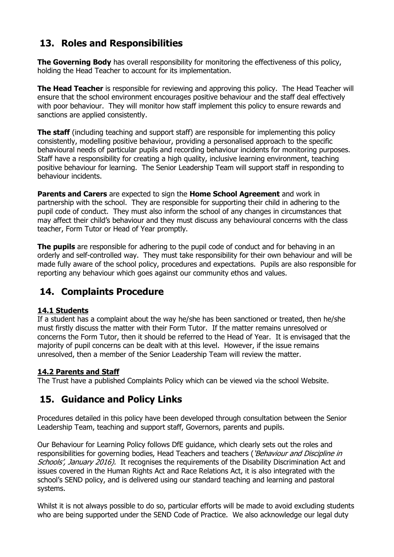## **13. Roles and Responsibilities**

**The Governing Body** has overall responsibility for monitoring the effectiveness of this policy, holding the Head Teacher to account for its implementation.

**The Head Teacher** is responsible for reviewing and approving this policy. The Head Teacher will ensure that the school environment encourages positive behaviour and the staff deal effectively with poor behaviour. They will monitor how staff implement this policy to ensure rewards and sanctions are applied consistently.

**The staff** (including teaching and support staff) are responsible for implementing this policy consistently, modelling positive behaviour, providing a personalised approach to the specific behavioural needs of particular pupils and recording behaviour incidents for monitoring purposes. Staff have a responsibility for creating a high quality, inclusive learning environment, teaching positive behaviour for learning. The Senior Leadership Team will support staff in responding to behaviour incidents.

**Parents and Carers** are expected to sign the **Home School Agreement** and work in partnership with the school. They are responsible for supporting their child in adhering to the pupil code of conduct. They must also inform the school of any changes in circumstances that may affect their child's behaviour and they must discuss any behavioural concerns with the class teacher, Form Tutor or Head of Year promptly.

**The pupils** are responsible for adhering to the pupil code of conduct and for behaving in an orderly and self-controlled way. They must take responsibility for their own behaviour and will be made fully aware of the school policy, procedures and expectations. Pupils are also responsible for reporting any behaviour which goes against our community ethos and values.

## **14. Complaints Procedure**

#### **14.1 Students**

If a student has a complaint about the way he/she has been sanctioned or treated, then he/she must firstly discuss the matter with their Form Tutor. If the matter remains unresolved or concerns the Form Tutor, then it should be referred to the Head of Year. It is envisaged that the majority of pupil concerns can be dealt with at this level. However, if the issue remains unresolved, then a member of the Senior Leadership Team will review the matter.

#### **14.2 Parents and Staff**

The Trust have a published Complaints Policy which can be viewed via the school Website.

## **15. Guidance and Policy Links**

Procedures detailed in this policy have been developed through consultation between the Senior Leadership Team, teaching and support staff, Governors, parents and pupils.

Our Behaviour for Learning Policy follows DfE guidance, which clearly sets out the roles and responsibilities for governing bodies, Head Teachers and teachers ('Behaviour and Discipline in Schools', January 2016). It recognises the requirements of the Disability Discrimination Act and issues covered in the Human Rights Act and Race Relations Act, it is also integrated with the school's SEND policy, and is delivered using our standard teaching and learning and pastoral systems.

Whilst it is not always possible to do so, particular efforts will be made to avoid excluding students who are being supported under the SEND Code of Practice. We also acknowledge our legal duty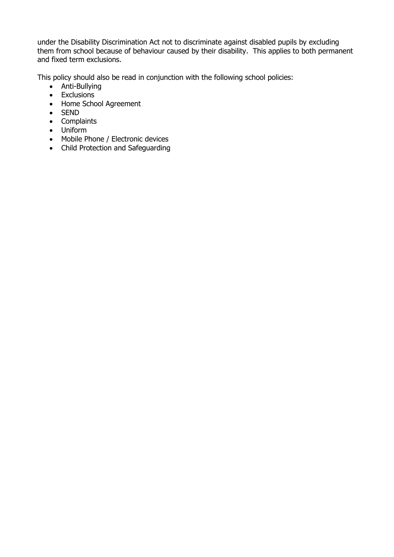under the Disability Discrimination Act not to discriminate against disabled pupils by excluding them from school because of behaviour caused by their disability. This applies to both permanent and fixed term exclusions.

This policy should also be read in conjunction with the following school policies:

- Anti-Bullying
- Exclusions
- Home School Agreement
- SEND
- Complaints
- Uniform
- Mobile Phone / Electronic devices
- Child Protection and Safeguarding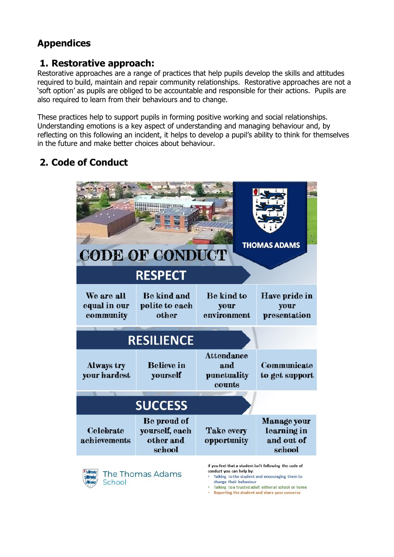## **Appendices**

### **1. Restorative approach:**

Restorative approaches are a range of practices that help pupils develop the skills and attitudes required to build, maintain and repair community relationships. Restorative approaches are not a 'soft option' as pupils are obliged to be accountable and responsible for their actions. Pupils are also required to learn from their behaviours and to change.

These practices help to support pupils in forming positive working and social relationships. Understanding emotions is a key aspect of understanding and managing behaviour and, by reflecting on this following an incident, it helps to develop a pupil's ability to think for themselves in the future and make better choices about behaviour.

## **2. Code of Conduct**

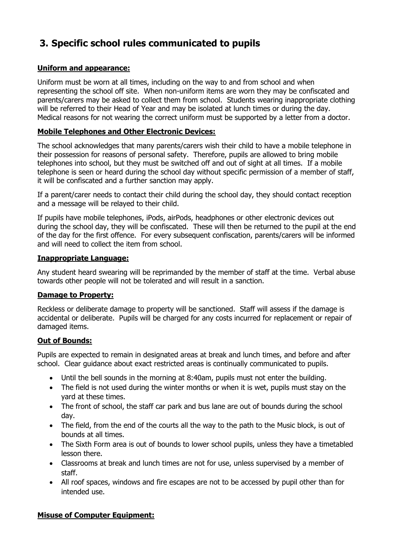## **3. Specific school rules communicated to pupils**

#### **Uniform and appearance:**

Uniform must be worn at all times, including on the way to and from school and when representing the school off site. When non-uniform items are worn they may be confiscated and parents/carers may be asked to collect them from school. Students wearing inappropriate clothing will be referred to their Head of Year and may be isolated at lunch times or during the day. Medical reasons for not wearing the correct uniform must be supported by a letter from a doctor.

#### **Mobile Telephones and Other Electronic Devices:**

The school acknowledges that many parents/carers wish their child to have a mobile telephone in their possession for reasons of personal safety. Therefore, pupils are allowed to bring mobile telephones into school, but they must be switched off and out of sight at all times. If a mobile telephone is seen or heard during the school day without specific permission of a member of staff, it will be confiscated and a further sanction may apply.

If a parent/carer needs to contact their child during the school day, they should contact reception and a message will be relayed to their child.

If pupils have mobile telephones, iPods, airPods, headphones or other electronic devices out during the school day, they will be confiscated. These will then be returned to the pupil at the end of the day for the first offence. For every subsequent confiscation, parents/carers will be informed and will need to collect the item from school.

#### **Inappropriate Language:**

Any student heard swearing will be reprimanded by the member of staff at the time. Verbal abuse towards other people will not be tolerated and will result in a sanction.

#### **Damage to Property:**

Reckless or deliberate damage to property will be sanctioned. Staff will assess if the damage is accidental or deliberate. Pupils will be charged for any costs incurred for replacement or repair of damaged items.

#### **Out of Bounds:**

Pupils are expected to remain in designated areas at break and lunch times, and before and after school. Clear guidance about exact restricted areas is continually communicated to pupils.

- Until the bell sounds in the morning at 8:40am, pupils must not enter the building.
- The field is not used during the winter months or when it is wet, pupils must stay on the yard at these times.
- The front of school, the staff car park and bus lane are out of bounds during the school day.
- The field, from the end of the courts all the way to the path to the Music block, is out of bounds at all times.
- The Sixth Form area is out of bounds to lower school pupils, unless they have a timetabled lesson there.
- Classrooms at break and lunch times are not for use, unless supervised by a member of staff.
- All roof spaces, windows and fire escapes are not to be accessed by pupil other than for intended use.

#### **Misuse of Computer Equipment:**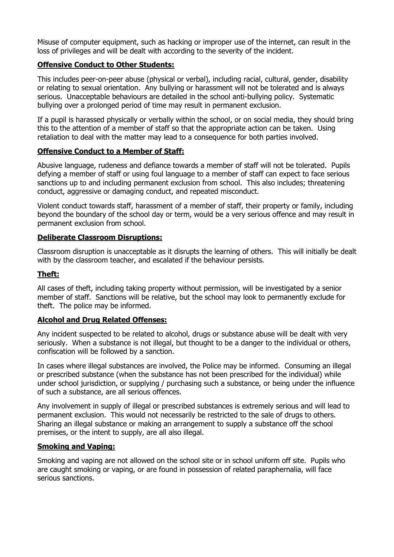Misuse of computer equipment, such as hacking or improper use of the internet, can result in the loss of privileges and will be dealt with according to the severity of the incident.

#### **Offensive Conduct to Other Students:**

This includes peer-on-peer abuse (physical or verbal), including racial, cultural, gender, disability or relating to sexual orientation. Any bullying or harassment will not be tolerated and is always serious. Unacceptable behaviours are detailed in the school anti-bullying policy. Systematic bullying over a prolonged period of time may result in permanent exclusion.

If a pupil is harassed physically or verbally within the school, or on social media, they should bring this to the attention of a member of staff so that the appropriate action can be taken. Using retaliation to deal with the matter may lead to a consequence for both parties involved.

#### **Offensive Conduct to a Member of Staff:**

Abusive language, rudeness and defiance towards a member of staff will not be tolerated. Pupils defying a member of staff or using foul language to a member of staff can expect to face serious sanctions up to and including permanent exclusion from school. This also includes; threatening conduct, aggressive or damaging conduct, and repeated misconduct.

Violent conduct towards staff, harassment of a member of staff, their property or family, including beyond the boundary of the school day or term, would be a very serious offence and may result in permanent exclusion from school.

#### **Deliberate Classroom Disruptions:**

Classroom disruption is unacceptable as it disrupts the learning of others. This will initially be dealt with by the classroom teacher, and escalated if the behaviour persists.

#### **Theft:**

All cases of theft, including taking property without permission, will be investigated by a senior member of staff. Sanctions will be relative, but the school may look to permanently exclude for theft. The police may be informed.

#### **Alcohol and Drug Related Offenses:**

Any incident suspected to be related to alcohol, drugs or substance abuse will be dealt with very seriously. When a substance is not illegal, but thought to be a danger to the individual or others, confiscation will be followed by a sanction.

In cases where illegal substances are involved, the Police may be informed. Consuming an illegal or prescribed substance (when the substance has not been prescribed for the individual) while under school jurisdiction, or supplying / purchasing such a substance, or being under the influence of such a substance, are all serious offences.

Any involvement in supply of illegal or prescribed substances is extremely serious and will lead to permanent exclusion. This would not necessarily be restricted to the sale of drugs to others. Sharing an illegal substance or making an arrangement to supply a substance off the school premises, or the intent to supply, are all also illegal.

#### **Smoking and Vaping:**

Smoking and vaping are not allowed on the school site or in school uniform off site. Pupils who are caught smoking or vaping, or are found in possession of related paraphernalia, will face serious sanctions.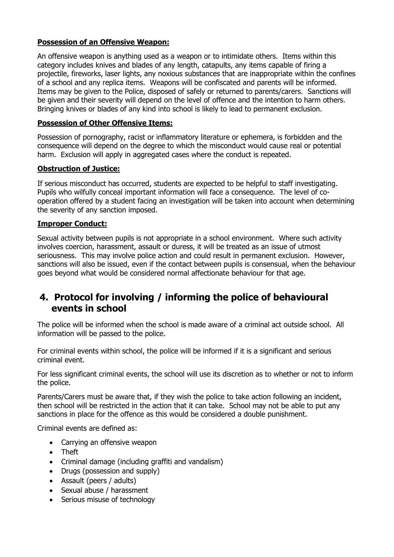#### **Possession of an Offensive Weapon:**

An offensive weapon is anything used as a weapon or to intimidate others. Items within this category includes knives and blades of any length, catapults, any items capable of firing a projectile, fireworks, laser lights, any noxious substances that are inappropriate within the confines of a school and any replica items. Weapons will be confiscated and parents will be informed. Items may be given to the Police, disposed of safely or returned to parents/carers. Sanctions will be given and their severity will depend on the level of offence and the intention to harm others. Bringing knives or blades of any kind into school is likely to lead to permanent exclusion.

#### **Possession of Other Offensive Items:**

Possession of pornography, racist or inflammatory literature or ephemera, is forbidden and the consequence will depend on the degree to which the misconduct would cause real or potential harm. Exclusion will apply in aggregated cases where the conduct is repeated.

#### **Obstruction of Justice:**

If serious misconduct has occurred, students are expected to be helpful to staff investigating. Pupils who wilfully conceal important information will face a consequence. The level of cooperation offered by a student facing an investigation will be taken into account when determining the severity of any sanction imposed.

#### **Improper Conduct:**

Sexual activity between pupils is not appropriate in a school environment. Where such activity involves coercion, harassment, assault or duress, it will be treated as an issue of utmost seriousness. This may involve police action and could result in permanent exclusion. However, sanctions will also be issued, even if the contact between pupils is consensual, when the behaviour goes beyond what would be considered normal affectionate behaviour for that age.

### **4. Protocol for involving / informing the police of behavioural events in school**

The police will be informed when the school is made aware of a criminal act outside school. All information will be passed to the police.

For criminal events within school, the police will be informed if it is a significant and serious criminal event.

For less significant criminal events, the school will use its discretion as to whether or not to inform the police.

Parents/Carers must be aware that, if they wish the police to take action following an incident, then school will be restricted in the action that it can take. School may not be able to put any sanctions in place for the offence as this would be considered a double punishment.

Criminal events are defined as:

- Carrying an offensive weapon
- Theft
- Criminal damage (including graffiti and vandalism)
- Drugs (possession and supply)
- Assault (peers / adults)
- Sexual abuse / harassment
- Serious misuse of technology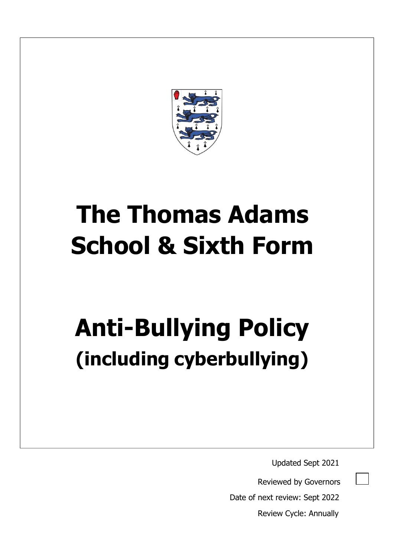

# **The Thomas Adams School & Sixth Form**

# **Anti-Bullying Policy (including cyberbullying)**

Updated Sept 2021

Reviewed by Governors

Date of next review: Sept 2022

Review Cycle: Annually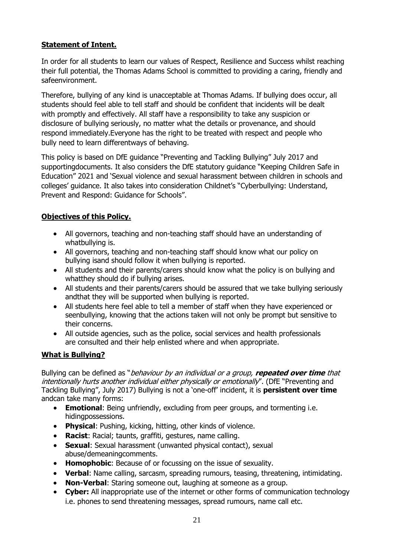#### **Statement of Intent.**

In order for all students to learn our values of Respect, Resilience and Success whilst reaching their full potential, the Thomas Adams School is committed to providing a caring, friendly and safeenvironment.

Therefore, bullying of any kind is unacceptable at Thomas Adams. If bullying does occur, all students should feel able to tell staff and should be confident that incidents will be dealt with promptly and effectively. All staff have a responsibility to take any suspicion or disclosure of bullying seriously, no matter what the details or provenance, and should respond immediately.Everyone has the right to be treated with respect and people who bully need to learn differentways of behaving.

This policy is based on DfE guidance "Preventing and Tackling Bullying" July 2017 and supportingdocuments. It also considers the DfE statutory guidance "Keeping Children Safe in Education" 2021 and 'Sexual violence and sexual harassment between children in schools and colleges' guidance. It also takes into consideration Childnet's "Cyberbullying: Understand, Prevent and Respond: Guidance for Schools".

#### **Objectives of this Policy.**

- All governors, teaching and non-teaching staff should have an understanding of whatbullying is.
- All governors, teaching and non-teaching staff should know what our policy on bullying isand should follow it when bullying is reported.
- All students and their parents/carers should know what the policy is on bullying and whatthey should do if bullying arises.
- All students and their parents/carers should be assured that we take bullying seriously andthat they will be supported when bullying is reported.
- All students here feel able to tell a member of staff when they have experienced or seenbullying, knowing that the actions taken will not only be prompt but sensitive to their concerns.
- All outside agencies, such as the police, social services and health professionals are consulted and their help enlisted where and when appropriate.

#### **What is Bullying?**

Bullying can be defined as "behaviour by an individual or a group, **repeated over time** that intentionally hurts another individual either physically or emotionally". (DfE "Preventing and Tackling Bullying", July 2017) Bullying is not a 'one-off' incident, it is **persistent over time**  andcan take many forms:

- **Emotional**: Being unfriendly, excluding from peer groups, and tormenting i.e. hidingpossessions.
- **Physical**: Pushing, kicking, hitting, other kinds of violence.
- **Racist**: Racial; taunts, graffiti, gestures, name calling.
- **Sexual**: Sexual harassment (unwanted physical contact), sexual abuse/demeaningcomments.
- **Homophobic**: Because of or focussing on the issue of sexuality.
- **Verbal**: Name calling, sarcasm, spreading rumours, teasing, threatening, intimidating.
- **Non-Verbal**: Staring someone out, laughing at someone as a group.
- **Cyber:** All inappropriate use of the internet or other forms of communication technology i.e. phones to send threatening messages, spread rumours, name call etc.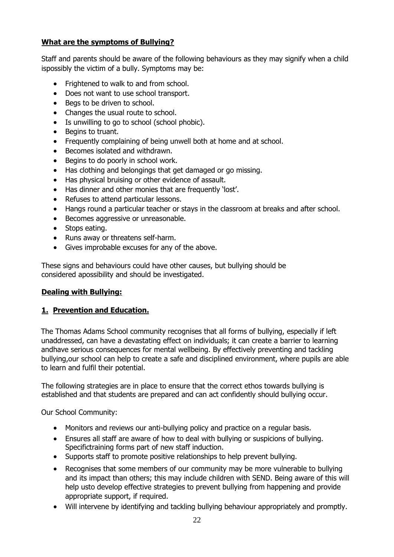#### **What are the symptoms of Bullying?**

Staff and parents should be aware of the following behaviours as they may signify when a child ispossibly the victim of a bully. Symptoms may be:

- Frightened to walk to and from school.
- Does not want to use school transport.
- Begs to be driven to school.
- Changes the usual route to school.
- Is unwilling to go to school (school phobic).
- Begins to truant.
- Frequently complaining of being unwell both at home and at school.
- Becomes isolated and withdrawn.
- Begins to do poorly in school work.
- Has clothing and belongings that get damaged or go missing.
- Has physical bruising or other evidence of assault.
- Has dinner and other monies that are frequently 'lost'.
- Refuses to attend particular lessons.
- Hangs round a particular teacher or stays in the classroom at breaks and after school.
- Becomes aggressive or unreasonable.
- Stops eating.
- Runs away or threatens self-harm.
- Gives improbable excuses for any of the above.

These signs and behaviours could have other causes, but bullying should be considered apossibility and should be investigated.

#### **Dealing with Bullying:**

#### **1. Prevention and Education.**

The Thomas Adams School community recognises that all forms of bullying, especially if left unaddressed, can have a devastating effect on individuals; it can create a barrier to learning andhave serious consequences for mental wellbeing. By effectively preventing and tackling bullying,our school can help to create a safe and disciplined environment, where pupils are able to learn and fulfil their potential.

The following strategies are in place to ensure that the correct ethos towards bullying is established and that students are prepared and can act confidently should bullying occur.

Our School Community:

- Monitors and reviews our anti-bullying policy and practice on a regular basis.
- Ensures all staff are aware of how to deal with bullying or suspicions of bullying. Specifictraining forms part of new staff induction.
- Supports staff to promote positive relationships to help prevent bullying.
- Recognises that some members of our community may be more vulnerable to bullying and its impact than others; this may include children with SEND. Being aware of this will help usto develop effective strategies to prevent bullying from happening and provide appropriate support, if required.
- Will intervene by identifying and tackling bullying behaviour appropriately and promptly.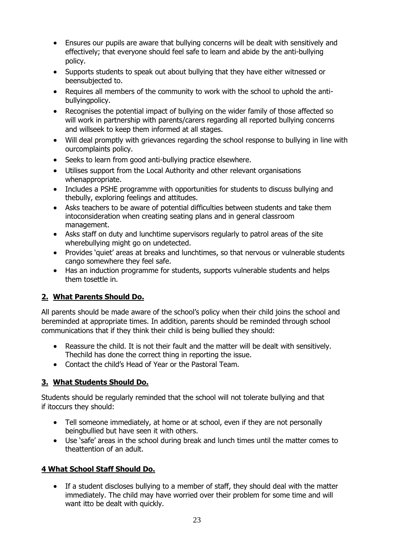- Ensures our pupils are aware that bullying concerns will be dealt with sensitively and effectively; that everyone should feel safe to learn and abide by the anti-bullying policy.
- Supports students to speak out about bullying that they have either witnessed or beensubjected to.
- Requires all members of the community to work with the school to uphold the antibullyingpolicy.
- Recognises the potential impact of bullying on the wider family of those affected so will work in partnership with parents/carers regarding all reported bullying concerns and willseek to keep them informed at all stages.
- Will deal promptly with grievances regarding the school response to bullying in line with ourcomplaints policy.
- Seeks to learn from good anti-bullying practice elsewhere.
- Utilises support from the Local Authority and other relevant organisations whenappropriate.
- Includes a PSHE programme with opportunities for students to discuss bullying and thebully, exploring feelings and attitudes.
- Asks teachers to be aware of potential difficulties between students and take them intoconsideration when creating seating plans and in general classroom management.
- Asks staff on duty and lunchtime supervisors regularly to patrol areas of the site wherebullying might go on undetected.
- Provides 'quiet' areas at breaks and lunchtimes, so that nervous or vulnerable students cango somewhere they feel safe.
- Has an induction programme for students, supports vulnerable students and helps them tosettle in.

#### **2. What Parents Should Do.**

All parents should be made aware of the school's policy when their child joins the school and bereminded at appropriate times. In addition, parents should be reminded through school communications that if they think their child is being bullied they should:

- Reassure the child. It is not their fault and the matter will be dealt with sensitively. Thechild has done the correct thing in reporting the issue.
- Contact the child's Head of Year or the Pastoral Team.

#### **3. What Students Should Do.**

Students should be regularly reminded that the school will not tolerate bullying and that if itoccurs they should:

- Tell someone immediately, at home or at school, even if they are not personally beingbullied but have seen it with others.
- Use 'safe' areas in the school during break and lunch times until the matter comes to theattention of an adult.

#### **4 What School Staff Should Do.**

 If a student discloses bullying to a member of staff, they should deal with the matter immediately. The child may have worried over their problem for some time and will want itto be dealt with quickly.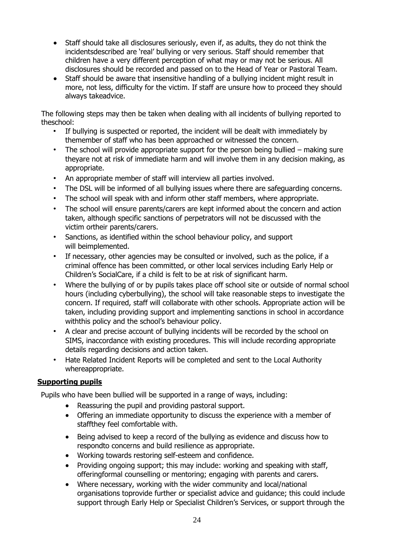- Staff should take all disclosures seriously, even if, as adults, they do not think the incidentsdescribed are 'real' bullying or very serious. Staff should remember that children have a very different perception of what may or may not be serious. All disclosures should be recorded and passed on to the Head of Year or Pastoral Team.
- Staff should be aware that insensitive handling of a bullying incident might result in more, not less, difficulty for the victim. If staff are unsure how to proceed they should always takeadvice.

The following steps may then be taken when dealing with all incidents of bullying reported to theschool:

- If bullying is suspected or reported, the incident will be dealt with immediately by themember of staff who has been approached or witnessed the concern.
- The school will provide appropriate support for the person being bullied making sure theyare not at risk of immediate harm and will involve them in any decision making, as appropriate.
- An appropriate member of staff will interview all parties involved.
- The DSL will be informed of all bullying issues where there are safeguarding concerns.
- The school will speak with and inform other staff members, where appropriate.
- The school will ensure parents/carers are kept informed about the concern and action taken, although specific sanctions of perpetrators will not be discussed with the victim ortheir parents/carers.
- Sanctions, as identified within the school behaviour policy, and support will beimplemented.
- If necessary, other agencies may be consulted or involved, such as the police, if a criminal offence has been committed, or other local services including Early Help or Children's SocialCare, if a child is felt to be at risk of significant harm.
- Where the bullying of or by pupils takes place off school site or outside of normal school hours (including cyberbullying), the school will take reasonable steps to investigate the concern. If required, staff will collaborate with other schools. Appropriate action will be taken, including providing support and implementing sanctions in school in accordance withthis policy and the school's behaviour policy.
- A clear and precise account of bullying incidents will be recorded by the school on SIMS, inaccordance with existing procedures. This will include recording appropriate details regarding decisions and action taken.
- Hate Related Incident Reports will be completed and sent to the Local Authority whereappropriate.

#### **Supporting pupils**

Pupils who have been bullied will be supported in a range of ways, including:

- Reassuring the pupil and providing pastoral support.
- Offering an immediate opportunity to discuss the experience with a member of staffthey feel comfortable with.
- Being advised to keep a record of the bullying as evidence and discuss how to respondto concerns and build resilience as appropriate.
- Working towards restoring self-esteem and confidence.
- Providing ongoing support; this may include: working and speaking with staff, offeringformal counselling or mentoring; engaging with parents and carers.
- Where necessary, working with the wider community and local/national organisations toprovide further or specialist advice and guidance; this could include support through Early Help or Specialist Children's Services, or support through the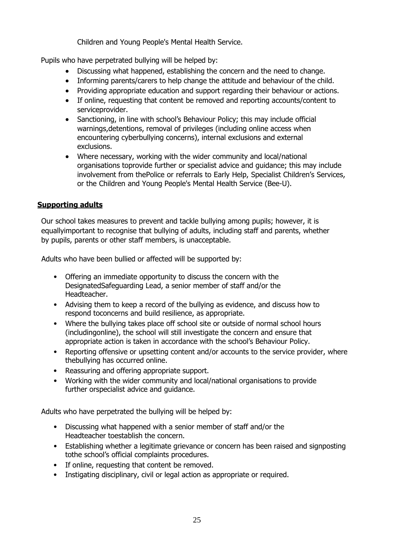Children and Young People's Mental Health Service.

Pupils who have perpetrated bullying will be helped by:

- Discussing what happened, establishing the concern and the need to change.
- Informing parents/carers to help change the attitude and behaviour of the child.
- Providing appropriate education and support regarding their behaviour or actions.
- If online, requesting that content be removed and reporting accounts/content to serviceprovider.
- Sanctioning, in line with school's Behaviour Policy; this may include official warnings,detentions, removal of privileges (including online access when encountering cyberbullying concerns), internal exclusions and external exclusions.
- Where necessary, working with the wider community and local/national organisations toprovide further or specialist advice and guidance; this may include involvement from thePolice or referrals to Early Help, Specialist Children's Services, or the Children and Young People's Mental Health Service (Bee-U).

#### **Supporting adults**

Our school takes measures to prevent and tackle bullying among pupils; however, it is equallyimportant to recognise that bullying of adults, including staff and parents, whether by pupils, parents or other staff members, is unacceptable.

Adults who have been bullied or affected will be supported by:

- Offering an immediate opportunity to discuss the concern with the DesignatedSafeguarding Lead, a senior member of staff and/or the Headteacher.
- Advising them to keep a record of the bullying as evidence, and discuss how to respond toconcerns and build resilience, as appropriate.
- Where the bullying takes place off school site or outside of normal school hours (includingonline), the school will still investigate the concern and ensure that appropriate action is taken in accordance with the school's Behaviour Policy.
- Reporting offensive or upsetting content and/or accounts to the service provider, where thebullying has occurred online.
- Reassuring and offering appropriate support.
- Working with the wider community and local/national organisations to provide further orspecialist advice and guidance.

Adults who have perpetrated the bullying will be helped by:

- Discussing what happened with a senior member of staff and/or the Headteacher toestablish the concern.
- Establishing whether a legitimate grievance or concern has been raised and signposting tothe school's official complaints procedures.
- If online, requesting that content be removed.
- Instigating disciplinary, civil or legal action as appropriate or required.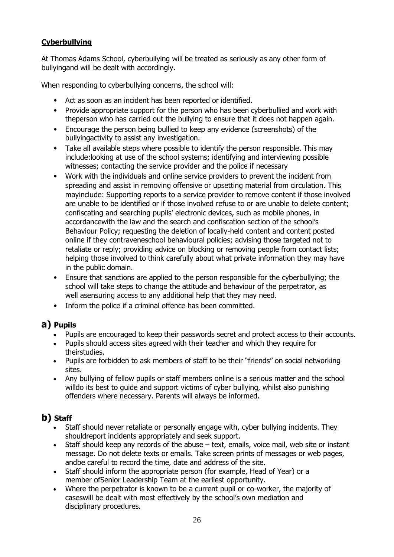#### **Cyberbullying**

At Thomas Adams School, cyberbullying will be treated as seriously as any other form of bullyingand will be dealt with accordingly.

When responding to cyberbullying concerns, the school will:

- Act as soon as an incident has been reported or identified.
- Provide appropriate support for the person who has been cyberbullied and work with theperson who has carried out the bullying to ensure that it does not happen again.
- Encourage the person being bullied to keep any evidence (screenshots) of the bullyingactivity to assist any investigation.
- Take all available steps where possible to identify the person responsible. This may include:looking at use of the school systems; identifying and interviewing possible witnesses; contacting the service provider and the police if necessary
- Work with the individuals and online service providers to prevent the incident from spreading and assist in removing offensive or upsetting material from circulation. This mayinclude: Supporting reports to a service provider to remove content if those involved are unable to be identified or if those involved refuse to or are unable to delete content; confiscating and searching pupils' electronic devices, such as mobile phones, in accordancewith the law and the search and confiscation section of the school's Behaviour Policy; requesting the deletion of locally-held content and content posted online if they contraveneschool behavioural policies; advising those targeted not to retaliate or reply; providing advice on blocking or removing people from contact lists; helping those involved to think carefully about what private information they may have in the public domain.
- Ensure that sanctions are applied to the person responsible for the cyberbullying; the school will take steps to change the attitude and behaviour of the perpetrator, as well asensuring access to any additional help that they may need.
- Inform the police if a criminal offence has been committed.

#### **a) Pupils**

- Pupils are encouraged to keep their passwords secret and protect access to their accounts.
- Pupils should access sites agreed with their teacher and which they require for theirstudies.
- Pupils are forbidden to ask members of staff to be their "friends" on social networking sites.
- Any bullying of fellow pupils or staff members online is a serious matter and the school willdo its best to quide and support victims of cyber bullying, whilst also punishing offenders where necessary. Parents will always be informed.

## **b) Staff**

- Staff should never retaliate or personally engage with, cyber bullying incidents. They shouldreport incidents appropriately and seek support.
- Staff should keep any records of the abuse text, emails, voice mail, web site or instant message. Do not delete texts or emails. Take screen prints of messages or web pages, andbe careful to record the time, date and address of the site.
- Staff should inform the appropriate person (for example, Head of Year) or a member ofSenior Leadership Team at the earliest opportunity.
- Where the perpetrator is known to be a current pupil or co-worker, the majority of caseswill be dealt with most effectively by the school's own mediation and disciplinary procedures.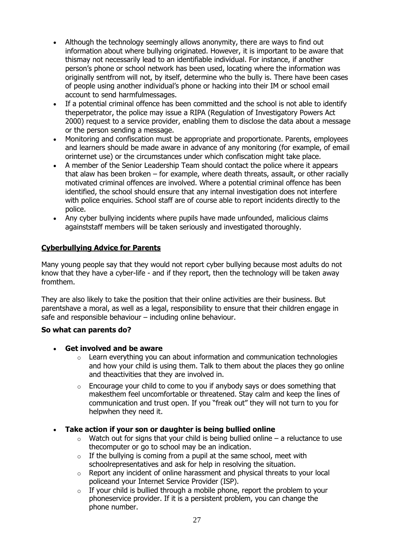- Although the technology seemingly allows anonymity, there are ways to find out information about where bullying originated. However, it is important to be aware that thismay not necessarily lead to an identifiable individual. For instance, if another person's phone or school network has been used, locating where the information was originally sentfrom will not, by itself, determine who the bully is. There have been cases of people using another individual's phone or hacking into their IM or school email account to send harmfulmessages.
- If a potential criminal offence has been committed and the school is not able to identify theperpetrator, the police may issue a RIPA (Regulation of Investigatory Powers Act 2000) request to a service provider, enabling them to disclose the data about a message or the person sending a message.
- Monitoring and confiscation must be appropriate and proportionate. Parents, employees and learners should be made aware in advance of any monitoring (for example, of email orinternet use) or the circumstances under which confiscation might take place.
- A member of the Senior Leadership Team should contact the police where it appears that alaw has been broken – for example, where death threats, assault, or other racially motivated criminal offences are involved. Where a potential criminal offence has been identified, the school should ensure that any internal investigation does not interfere with police enquiries. School staff are of course able to report incidents directly to the police.
- Any cyber bullying incidents where pupils have made unfounded, malicious claims againststaff members will be taken seriously and investigated thoroughly.

#### **Cyberbullying Advice for Parents**

Many young people say that they would not report cyber bullying because most adults do not know that they have a cyber-life - and if they report, then the technology will be taken away fromthem.

They are also likely to take the position that their online activities are their business. But parentshave a moral, as well as a legal, responsibility to ensure that their children engage in safe and responsible behaviour – including online behaviour.

#### **So what can parents do?**

- **Get involved and be aware**
	- o Learn everything you can about information and communication technologies and how your child is using them. Talk to them about the places they go online and theactivities that they are involved in.
	- $\circ$  Encourage your child to come to you if anybody says or does something that makesthem feel uncomfortable or threatened. Stay calm and keep the lines of communication and trust open. If you "freak out" they will not turn to you for helpwhen they need it.
- **Take action if your son or daughter is being bullied online**
	- $\circ$  Watch out for signs that your child is being bullied online a reluctance to use thecomputer or go to school may be an indication.
	- $\circ$  If the bullying is coming from a pupil at the same school, meet with schoolrepresentatives and ask for help in resolving the situation.
	- $\circ$  Report any incident of online harassment and physical threats to your local policeand your Internet Service Provider (ISP).
	- $\circ$  If your child is bullied through a mobile phone, report the problem to your phoneservice provider. If it is a persistent problem, you can change the phone number.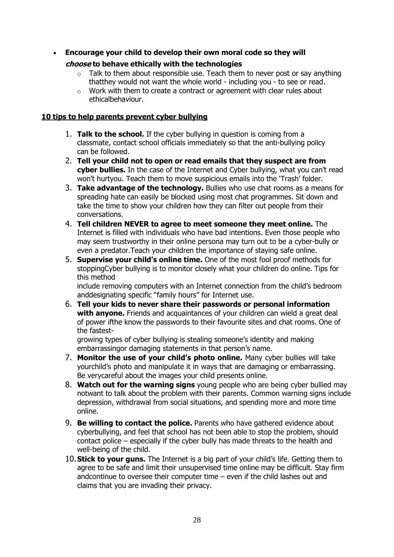**Encourage your child to develop their own moral code so they will**

#### **choose to behave ethically with the technologies**

- $\circ$  Talk to them about responsible use. Teach them to never post or say anything thatthey would not want the whole world - including you - to see or read.
- o Work with them to create a contract or agreement with clear rules about ethicalbehaviour.

#### **10 tips to help parents prevent cyber bullying**

- 1. **Talk to the school.** If the cyber bullying in question is coming from a classmate, contact school officials immediately so that the anti-bullying policy can be followed.
- 2. **Tell your child not to open or read emails that they suspect are from cyber bullies.** In the case of the Internet and Cyber bullying, what you can't read won't hurtyou. Teach them to move suspicious emails into the 'Trash' folder.
- 3. **Take advantage of the technology.** Bullies who use chat rooms as a means for spreading hate can easily be blocked using most chat programmes. Sit down and take the time to show your children how they can filter out people from their conversations.
- 4. **Tell children NEVER to agree to meet someone they meet online.** The Internet is filled with individuals who have bad intentions. Even those people who may seem trustworthy in their online persona may turn out to be a cyber-bully or even a predator.Teach your children the importance of staying safe online.
- 5. **Supervise your child's online time.** One of the most fool proof methods for stoppingCyber bullying is to monitor closely what your children do online. Tips for this method

include removing computers with an Internet connection from the child's bedroom anddesignating specific "family hours" for Internet use.

6. **Tell your kids to never share their passwords or personal information with anyone.** Friends and acquaintances of your children can wield a great deal of power ifthe know the passwords to their favourite sites and chat rooms. One of the fastest-

growing types of cyber bullying is stealing someone's identity and making embarrassingor damaging statements in that person's name.

- 7. **Monitor the use of your child's photo online.** Many cyber bullies will take yourchild's photo and manipulate it in ways that are damaging or embarrassing. Be verycareful about the images your child presents online.
- 8. **Watch out for the warning signs** young people who are being cyber bullied may notwant to talk about the problem with their parents. Common warning signs include depression, withdrawal from social situations, and spending more and more time online.
- 9. **Be willing to contact the police.** Parents who have gathered evidence about cyberbullying, and feel that school has not been able to stop the problem, should contact police – especially if the cyber bully has made threats to the health and well-being of the child.
- 10.**Stick to your guns.** The Internet is a big part of your child's life. Getting them to agree to be safe and limit their unsupervised time online may be difficult. Stay firm andcontinue to oversee their computer time – even if the child lashes out and claims that you are invading their privacy.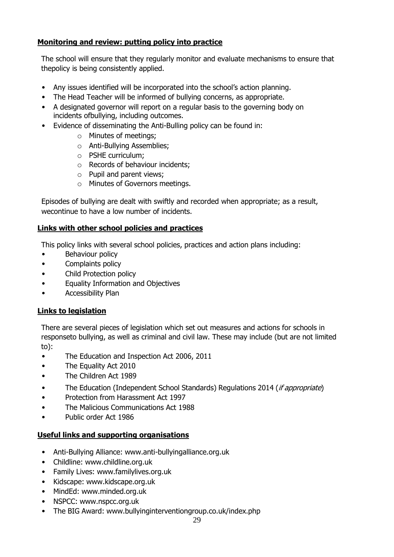#### **Monitoring and review: putting policy into practice**

The school will ensure that they regularly monitor and evaluate mechanisms to ensure that thepolicy is being consistently applied.

- Any issues identified will be incorporated into the school's action planning.
- The Head Teacher will be informed of bullying concerns, as appropriate.
- A designated governor will report on a regular basis to the governing body on incidents ofbullying, including outcomes.
- Evidence of disseminating the Anti-Bulling policy can be found in:
	- o Minutes of meetings;
	- o Anti-Bullying Assemblies;
	- o PSHE curriculum;
	- o Records of behaviour incidents;
	- o Pupil and parent views;
	- o Minutes of Governors meetings.

Episodes of bullying are dealt with swiftly and recorded when appropriate; as a result, wecontinue to have a low number of incidents.

#### **Links with other school policies and practices**

This policy links with several school policies, practices and action plans including:

- Behaviour policy
- Complaints policy
- Child Protection policy
- Equality Information and Objectives
- Accessibility Plan

#### **Links to legislation**

There are several pieces of legislation which set out measures and actions for schools in responseto bullying, as well as criminal and civil law. These may include (but are not limited to):

- The Education and Inspection Act 2006, 2011
- The Equality Act 2010
- The Children Act 1989
- The Education (Independent School Standards) Regulations 2014 (*if appropriate*)
- Protection from Harassment Act 1997
- The Malicious Communications Act 1988
- Public order Act 1986

#### **Useful links and supporting organisations**

- Anti-Bullying Alliance: [www.anti-bullyingalliance.org.uk](http://www.anti-bullyingalliance.org.uk/)
- Childline: [www.childline.org.uk](http://www.childline.org.uk/)
- Family Lives: [www.familylives.org.uk](http://www.familylives.org.uk/)
- Kidscape: [www.kidscape.org.uk](http://www.kidscape.org.uk/)
- MindEd: [www.minded.org.uk](http://www.minded.org.uk/)
- NSPCC: [www.nspcc.org.uk](http://www.nspcc.org.uk/)
- The BIG Award: [www.bullyinginterventiongroup.co.uk/index.php](http://www.bullyinginterventiongroup.co.uk/index.php)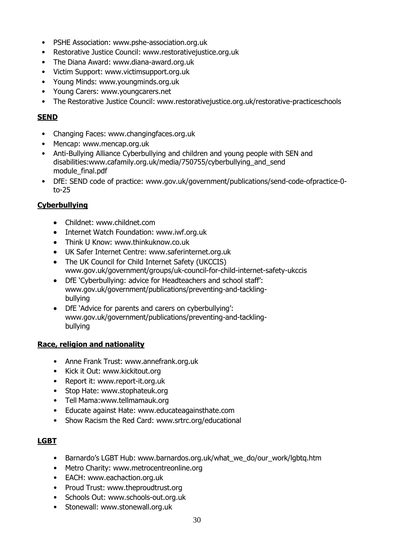- PSHE Association: [www.pshe-association.org.uk](http://www.pshe-association.org.uk/)
- Restorative Justice Council: [www.restorativejustice.org.uk](http://www.restorativejustice.org.uk/)
- The Diana Award: [www.diana-award.org.uk](http://www.diana-award.org.uk/)
- Victim Support: [www.victimsupport.org.uk](http://www.victimsupport.org.uk/)
- Young Minds: [www.youngminds.org.uk](http://www.youngminds.org.uk/)
- Young Carers: [www.youngcarers.net](http://www.youngcarers.net/)
- The Restorative Justice Council: [www.restorativejustice.org.uk/restorative-practiceschools](http://www.restorativejustice.org.uk/restorative-practiceschools)

#### **SEND**

- Changing Faces: [www.changingfaces.org.uk](http://www.changingfaces.org.uk/)
- Mencap: [www.mencap.org.uk](http://www.mencap.org.uk/)
- Anti-Bullying Alliance Cyberbullying and children and young people with SEN and disabilities[:www.cafamily.org.uk/media/750755/cyberbullying\\_and\\_send](http://www.cafamily.org.uk/media/750755/cyberbullying_and_send) module\_final.pdf
- DfE: SEND code of practice: [www.gov.uk/government/publications/send-code-ofpractice-0](http://www.gov.uk/government/publications/send-code-ofpractice-0-to-) [to-2](http://www.gov.uk/government/publications/send-code-ofpractice-0-to-)5

#### **Cyberbullying**

- Childnet: [www.childnet.com](http://www.childnet.com/)
- Internet Watch Foundation: [www.iwf.org.uk](http://www.iwf.org.uk/)
- Think U Know: [www.thinkuknow.co.uk](http://www.thinkuknow.co.uk/)
- UK Safer Internet Centre: [www.saferinternet.org.uk](http://www.saferinternet.org.uk/)
- The UK Council for Child Internet Safety (UKCCIS) [www.gov.uk/government/groups/uk-c](http://www.gov.uk/government/groups/uk-)ouncil-for-child-internet-safety-ukccis
- DfE 'Cyberbullying: advice for Headteachers and school staff': [www.gov.uk/government/publications/preventing-and-tackling](http://www.gov.uk/government/publications/preventing-and-tackling-bullying)[bullying](http://www.gov.uk/government/publications/preventing-and-tackling-bullying)
- DfE 'Advice for parents and carers on cyberbullying': [www.gov.uk/government/publications/preventing-and-tackling](http://www.gov.uk/government/publications/preventing-and-tackling-bullying)[bullying](http://www.gov.uk/government/publications/preventing-and-tackling-bullying)

#### **Race, religion and nationality**

- Anne Frank Trust: [www.annefrank.org.uk](http://www.annefrank.org.uk/)
- Kick it Out: [www.kickitout.org](http://www.kickitout.org/)
- Report it: [www.report-it.org.uk](http://www.report-it.org.uk/)
- Stop Hate: [www.stophateuk.org](http://www.stophateuk.org/)
- Tell Mama[:www.tellmamauk.org](http://www.tellmamauk.org/)
- Educate against Hate: [www.educateagainsthate.com](http://www.educateagainsthate.com/)
- Show Racism the Red Card: [www.srtrc.org/educational](http://www.srtrc.org/educational)

#### **LGBT**

- Barnardo's LGBT Hub: [www.barnardos.org.uk/what\\_we\\_do/our\\_work/lgbtq.htm](http://www.barnardos.org.uk/what_we_do/our_work/lgbtq.htm)
- Metro Charity: [www.metrocentreonline.org](http://www.metrocentreonline.org/)
- EACH: [www.eachaction.org.uk](http://www.eachaction.org.uk/)
- Proud Trust: [www.theproudtrust.org](http://www.theproudtrust.org/)
- Schools Out: [www.schools-out.org.uk](http://www.schools-out.org.uk/)
- Stonewall: [www.stonewall.org.uk](http://www.stonewall.org.uk/)